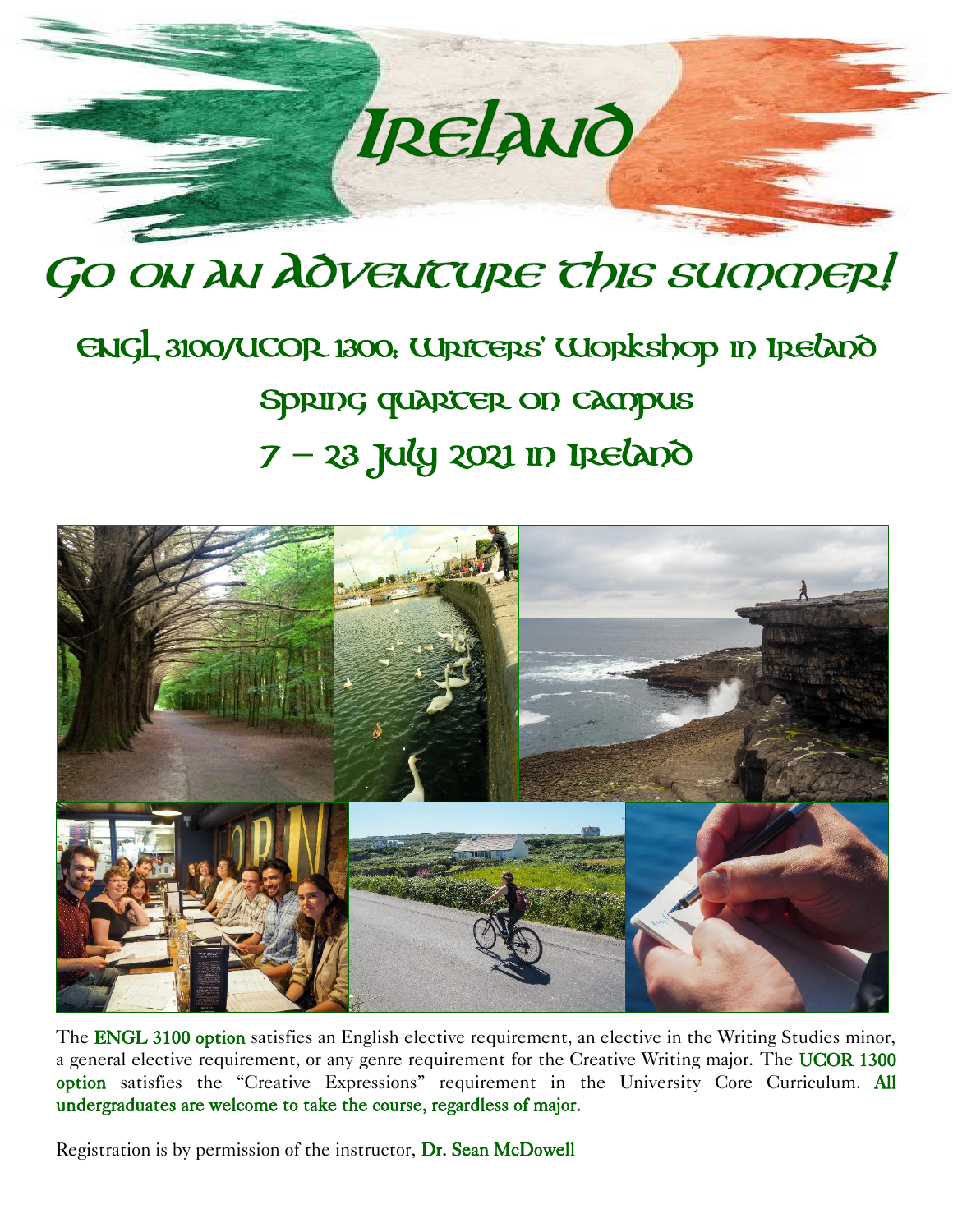## Ipelawo

## GO ON AN AOVENTURE This summer!

## ENGL 3100/UCOR 1300: Writers' Workshop in Ireland Spring quarter on campus 7 **–** 23 July 2021 in Ireland



The ENGL 3100 option satisfies an English elective requirement, an elective in the Writing Studies minor, a general elective requirement, or any genre requirement for the Creative Writing major. The UCOR 1300 option satisfies the "Creative Expressions" requirement in the University Core Curriculum. All undergraduates are welcome to take the course, regardless of major.

Registration is by permission of the instructor, Dr. Sean McDowell